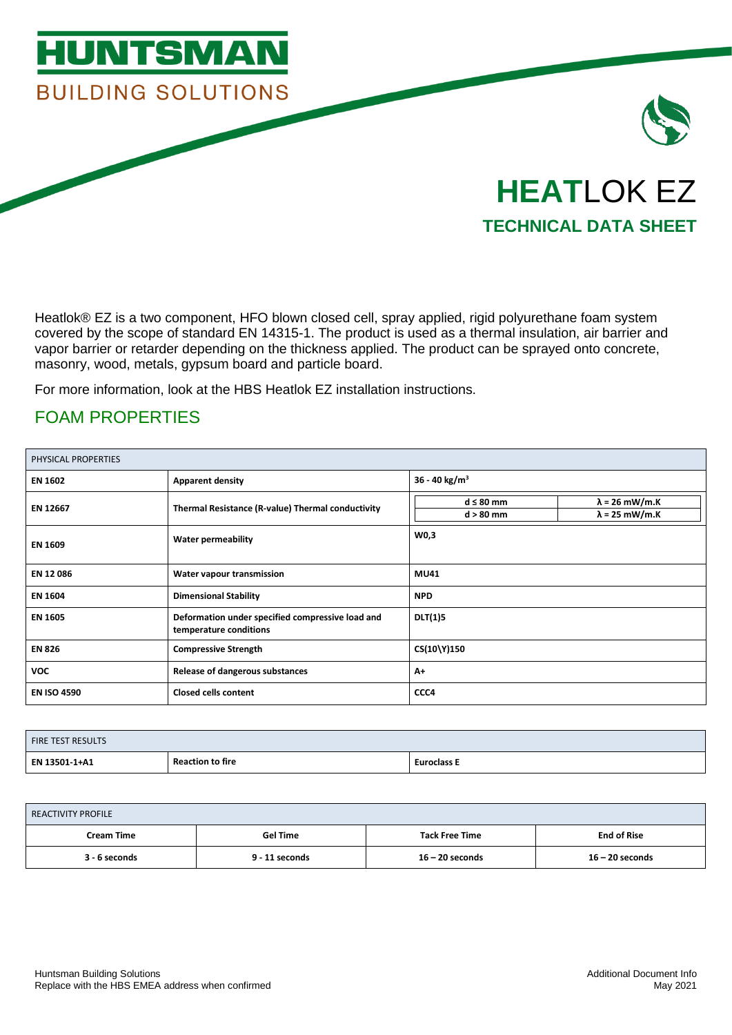

Heatlok® EZ is a two component, HFO blown closed cell, spray applied, rigid polyurethane foam system covered by the scope of standard EN 14315-1. The product is used as a thermal insulation, air barrier and vapor barrier or retarder depending on the thickness applied. The product can be sprayed onto concrete, masonry, wood, metals, gypsum board and particle board.

For more information, look at the HBS Heatlok EZ installation instructions.

### FOAM PROPERTIES

| PHYSICAL PROPERTIES |                                                                            |                               |                                                |
|---------------------|----------------------------------------------------------------------------|-------------------------------|------------------------------------------------|
| <b>EN 1602</b>      | <b>Apparent density</b>                                                    | 36 - 40 kg/m <sup>3</sup>     |                                                |
| EN 12667            | Thermal Resistance (R-value) Thermal conductivity                          | $d \leq 80$ mm<br>$d > 80$ mm | $\lambda$ = 26 mW/m.K<br>$\lambda$ = 25 mW/m.K |
| <b>EN 1609</b>      | <b>Water permeability</b>                                                  | W0,3                          |                                                |
| EN 12 086           | Water vapour transmission                                                  | <b>MU41</b>                   |                                                |
| <b>EN 1604</b>      | <b>Dimensional Stability</b>                                               | <b>NPD</b>                    |                                                |
| <b>EN 1605</b>      | Deformation under specified compressive load and<br>temperature conditions | <b>DLT(1)5</b>                |                                                |
| <b>EN 826</b>       | <b>Compressive Strength</b>                                                | CS(10\Y)150                   |                                                |
| <b>VOC</b>          | <b>Release of dangerous substances</b>                                     | $A+$                          |                                                |
| <b>EN ISO 4590</b>  | <b>Closed cells content</b>                                                | CCC4                          |                                                |

| <b>FIRE TEST RESULTS</b> |                         |                    |
|--------------------------|-------------------------|--------------------|
| EN 13501-1+A1            | <b>Reaction to fire</b> | <b>Euroclass E</b> |

| <b>REACTIVITY PROFILE</b> |                 |                       |                    |
|---------------------------|-----------------|-----------------------|--------------------|
| <b>Cream Time</b>         | <b>Gel Time</b> | <b>Tack Free Time</b> | <b>End of Rise</b> |
| 3 - 6 seconds             | 9 - 11 seconds  | $16 - 20$ seconds     | $16 - 20$ seconds  |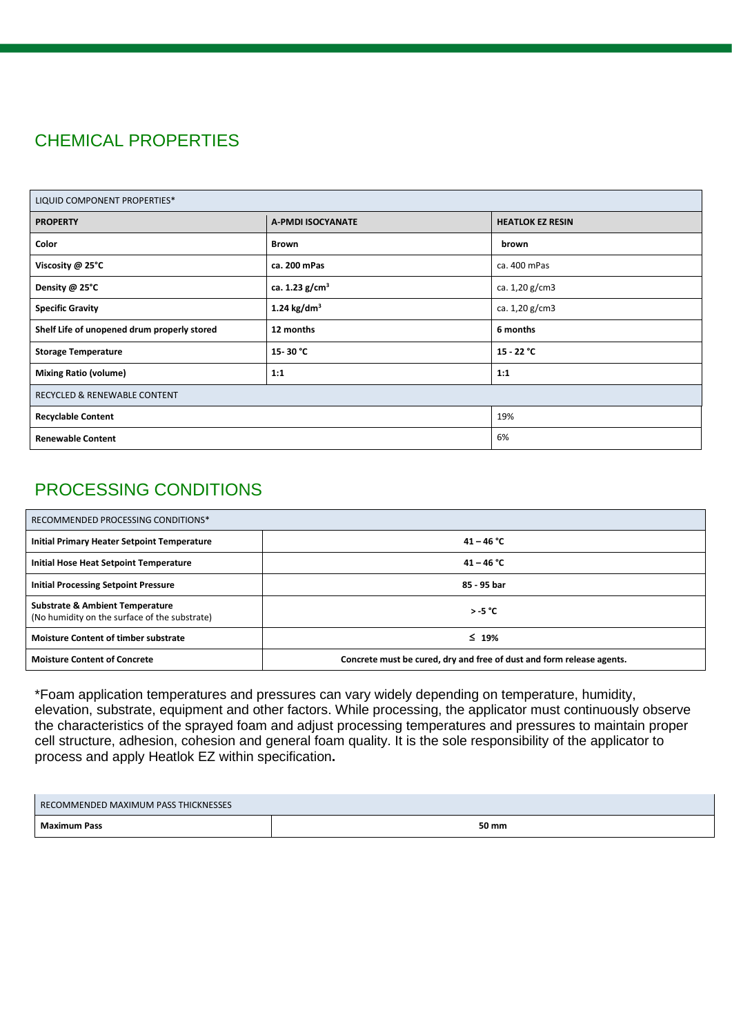# CHEMICAL PROPERTIES

| LIQUID COMPONENT PROPERTIES*                |                   |                         |
|---------------------------------------------|-------------------|-------------------------|
| <b>PROPERTY</b>                             | A-PMDI ISOCYANATE | <b>HEATLOK EZ RESIN</b> |
| Color                                       | <b>Brown</b>      | brown                   |
| Viscosity @ 25°C                            | ca. 200 mPas      | ca. 400 mPas            |
| Density @ 25°C                              | ca. 1.23 $g/cm3$  | ca. 1,20 g/cm3          |
| <b>Specific Gravity</b>                     | 1.24 $kg/dm3$     | ca. 1,20 g/cm3          |
| Shelf Life of unopened drum properly stored | 12 months         | 6 months                |
| <b>Storage Temperature</b>                  | 15-30 °C          | $15 - 22 °C$            |
| <b>Mixing Ratio (volume)</b>                | 1:1               | 1:1                     |
| <b>RECYCLED &amp; RENEWABLE CONTENT</b>     |                   |                         |
| <b>Recyclable Content</b>                   | 19%               |                         |
| 6%<br><b>Renewable Content</b>              |                   |                         |

## PROCESSING CONDITIONS

| RECOMMENDED PROCESSING CONDITIONS*                                                          |                                                                       |
|---------------------------------------------------------------------------------------------|-----------------------------------------------------------------------|
| Initial Primary Heater Setpoint Temperature                                                 | $41 - 46 °C$                                                          |
| Initial Hose Heat Setpoint Temperature                                                      | $41 - 46 °C$                                                          |
| <b>Initial Processing Setpoint Pressure</b>                                                 | 85 - 95 bar                                                           |
| <b>Substrate &amp; Ambient Temperature</b><br>(No humidity on the surface of the substrate) | $> -5$ °C                                                             |
| <b>Moisture Content of timber substrate</b>                                                 | $\leq 19\%$                                                           |
| <b>Moisture Content of Concrete</b>                                                         | Concrete must be cured, dry and free of dust and form release agents. |

\*Foam application temperatures and pressures can vary widely depending on temperature, humidity, elevation, substrate, equipment and other factors. While processing, the applicator must continuously observe the characteristics of the sprayed foam and adjust processing temperatures and pressures to maintain proper cell structure, adhesion, cohesion and general foam quality. It is the sole responsibility of the applicator to process and apply Heatlok EZ within specification**.**

| COMMENDED MAXIMUM PASS THICKNESSES<br><b>REC</b> |       |
|--------------------------------------------------|-------|
| <b>Maximum Pass</b>                              | 50 mm |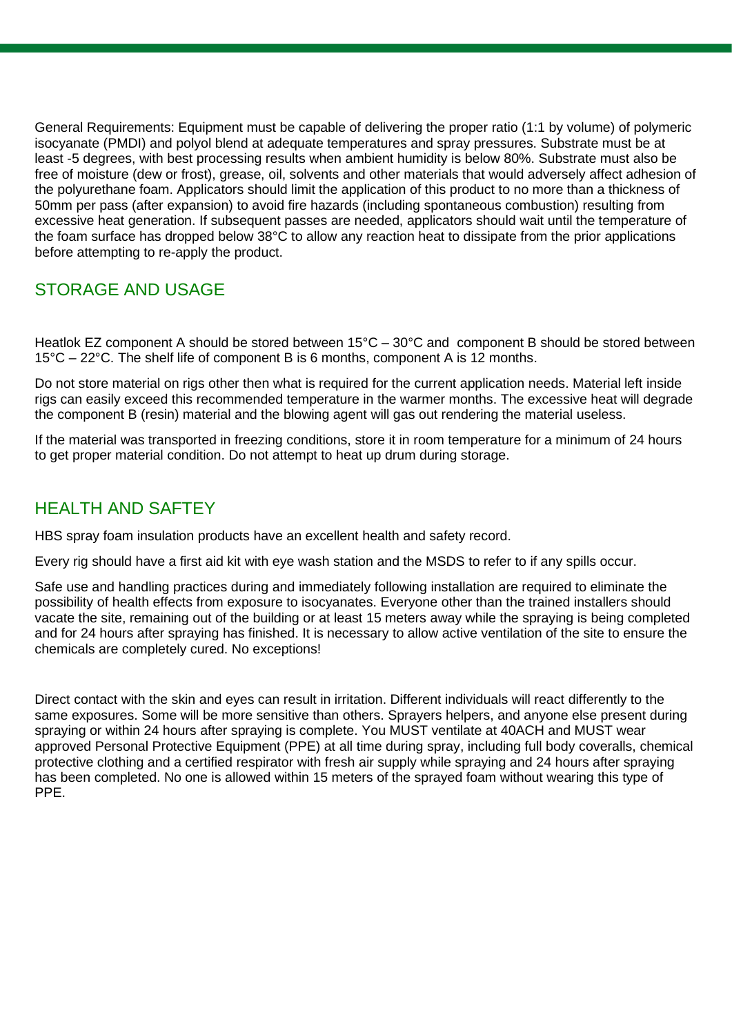General Requirements: Equipment must be capable of delivering the proper ratio (1:1 by volume) of polymeric isocyanate (PMDI) and polyol blend at adequate temperatures and spray pressures. Substrate must be at least -5 degrees, with best processing results when ambient humidity is below 80%. Substrate must also be free of moisture (dew or frost), grease, oil, solvents and other materials that would adversely affect adhesion of the polyurethane foam. Applicators should limit the application of this product to no more than a thickness of 50mm per pass (after expansion) to avoid fire hazards (including spontaneous combustion) resulting from excessive heat generation. If subsequent passes are needed, applicators should wait until the temperature of the foam surface has dropped below 38°C to allow any reaction heat to dissipate from the prior applications before attempting to re-apply the product.

## STORAGE AND USAGE

Heatlok EZ component A should be stored between 15°C – 30°C and component B should be stored between 15°C – 22°C. The shelf life of component B is 6 months, component A is 12 months.

Do not store material on rigs other then what is required for the current application needs. Material left inside rigs can easily exceed this recommended temperature in the warmer months. The excessive heat will degrade the component B (resin) material and the blowing agent will gas out rendering the material useless.

If the material was transported in freezing conditions, store it in room temperature for a minimum of 24 hours to get proper material condition. Do not attempt to heat up drum during storage.

### HEALTH AND SAFTEY

HBS spray foam insulation products have an excellent health and safety record.

Every rig should have a first aid kit with eye wash station and the MSDS to refer to if any spills occur.

Safe use and handling practices during and immediately following installation are required to eliminate the possibility of health effects from exposure to isocyanates. Everyone other than the trained installers should vacate the site, remaining out of the building or at least 15 meters away while the spraying is being completed and for 24 hours after spraying has finished. It is necessary to allow active ventilation of the site to ensure the chemicals are completely cured. No exceptions!

Direct contact with the skin and eyes can result in irritation. Different individuals will react differently to the same exposures. Some will be more sensitive than others. Sprayers helpers, and anyone else present during spraying or within 24 hours after spraying is complete. You MUST ventilate at 40ACH and MUST wear approved Personal Protective Equipment (PPE) at all time during spray, including full body coveralls, chemical protective clothing and a certified respirator with fresh air supply while spraying and 24 hours after spraying has been completed. No one is allowed within 15 meters of the sprayed foam without wearing this type of PPE.